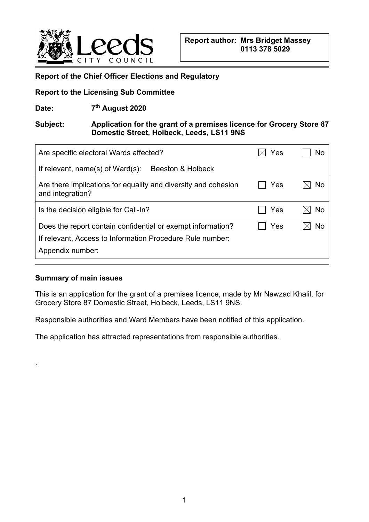

#### **Report of the Chief Officer Elections and Regulatory**

#### **Report to the Licensing Sub Committee**

Date: 7<sup>th</sup> August 2020

## **Subject: Application for the grant of a premises licence for Grocery Store 87 Domestic Street, Holbeck, Leeds, LS11 9NS**

| Are specific electoral Wards affected?                                                                                                       | Yes |           |
|----------------------------------------------------------------------------------------------------------------------------------------------|-----|-----------|
| If relevant, name(s) of $Ward(s)$ :<br>Beeston & Holbeck                                                                                     |     |           |
| Are there implications for equality and diversity and cohesion<br>and integration?                                                           | Yes | No        |
| Is the decision eligible for Call-In?                                                                                                        | Yes | <b>No</b> |
| Does the report contain confidential or exempt information?<br>If relevant, Access to Information Procedure Rule number:<br>Appendix number: | Yes | No        |

#### **Summary of main issues**

.

This is an application for the grant of a premises licence, made by Mr Nawzad Khalil, for Grocery Store 87 Domestic Street, Holbeck, Leeds, LS11 9NS.

Responsible authorities and Ward Members have been notified of this application.

The application has attracted representations from responsible authorities.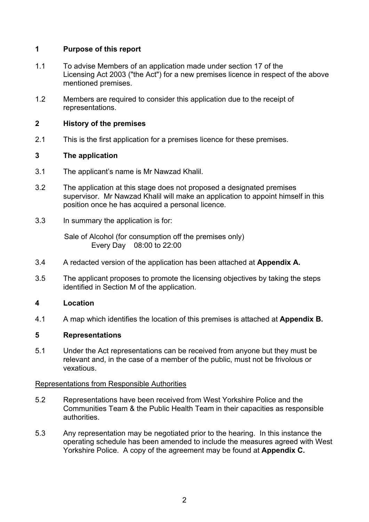# **1 Purpose of this report**

- 1.1 To advise Members of an application made under section 17 of the Licensing Act 2003 ("the Act") for a new premises licence in respect of the above mentioned premises.
- 1.2 Members are required to consider this application due to the receipt of representations.

## **2 History of the premises**

2.1 This is the first application for a premises licence for these premises.

## **3 The application**

- 3.1 The applicant's name is Mr Nawzad Khalil.
- 3.2 The application at this stage does not proposed a designated premises supervisor. Mr Nawzad Khalil will make an application to appoint himself in this position once he has acquired a personal licence.
- 3.3 In summary the application is for:

 Sale of Alcohol (for consumption off the premises only) Every Day 08:00 to 22:00

- 3.4 A redacted version of the application has been attached at **Appendix A.**
- 3.5 The applicant proposes to promote the licensing objectives by taking the steps identified in Section M of the application.

## **4 Location**

4.1 A map which identifies the location of this premises is attached at **Appendix B.**

## **5 Representations**

5.1 Under the Act representations can be received from anyone but they must be relevant and, in the case of a member of the public, must not be frivolous or vexatious.

## Representations from Responsible Authorities

- 5.2 Representations have been received from West Yorkshire Police and the Communities Team & the Public Health Team in their capacities as responsible authorities.
- 5.3 Any representation may be negotiated prior to the hearing. In this instance the operating schedule has been amended to include the measures agreed with West Yorkshire Police. A copy of the agreement may be found at **Appendix C.**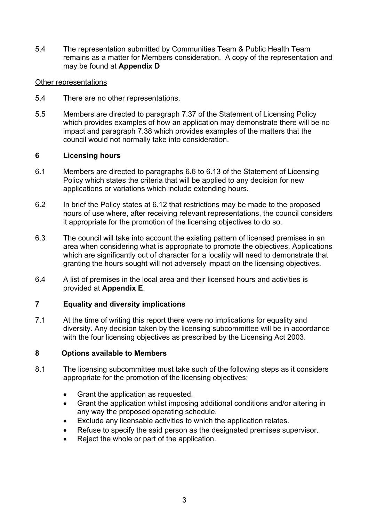5.4 The representation submitted by Communities Team & Public Health Team remains as a matter for Members consideration. A copy of the representation and may be found at **Appendix D**

#### Other representations

- 5.4 There are no other representations.
- 5.5 Members are directed to paragraph 7.37 of the Statement of Licensing Policy which provides examples of how an application may demonstrate there will be no impact and paragraph 7.38 which provides examples of the matters that the council would not normally take into consideration.

#### **6 Licensing hours**

- 6.1 Members are directed to paragraphs 6.6 to 6.13 of the Statement of Licensing Policy which states the criteria that will be applied to any decision for new applications or variations which include extending hours.
- 6.2 In brief the Policy states at 6.12 that restrictions may be made to the proposed hours of use where, after receiving relevant representations, the council considers it appropriate for the promotion of the licensing objectives to do so.
- 6.3 The council will take into account the existing pattern of licensed premises in an area when considering what is appropriate to promote the objectives. Applications which are significantly out of character for a locality will need to demonstrate that granting the hours sought will not adversely impact on the licensing objectives.
- 6.4 A list of premises in the local area and their licensed hours and activities is provided at **Appendix E**.

#### **7 Equality and diversity implications**

7.1 At the time of writing this report there were no implications for equality and diversity. Any decision taken by the licensing subcommittee will be in accordance with the four licensing objectives as prescribed by the Licensing Act 2003.

#### **8 Options available to Members**

- 8.1 The licensing subcommittee must take such of the following steps as it considers appropriate for the promotion of the licensing objectives:
	- Grant the application as requested.
	- Grant the application whilst imposing additional conditions and/or altering in any way the proposed operating schedule.
	- Exclude any licensable activities to which the application relates.
	- Refuse to specify the said person as the designated premises supervisor.
	- Reject the whole or part of the application.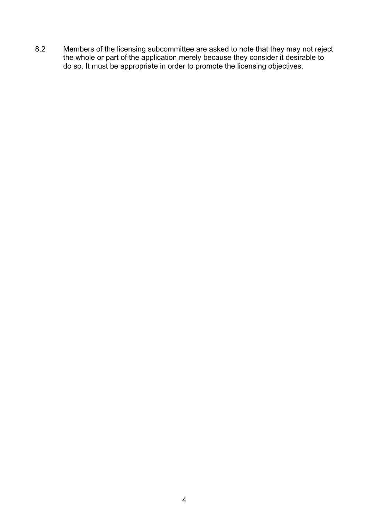8.2 Members of the licensing subcommittee are asked to note that they may not reject the whole or part of the application merely because they consider it desirable to do so. It must be appropriate in order to promote the licensing objectives.